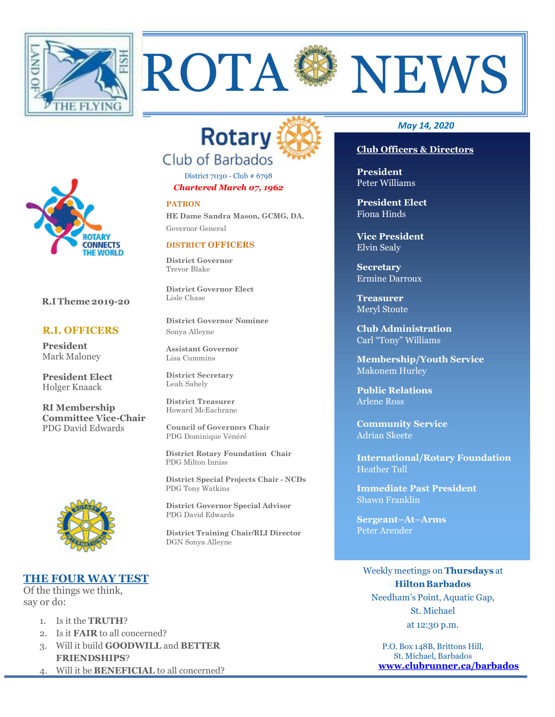



District 7030 - Club # 6798 *Chartered March 07, 1962*

#### **PATRON**

**HE Dame Sandra Mason, GCMG, DA.** Governor General

#### **DISTRICT OFFICERS**

**District Governor** Trevor Blake

**District Governor Elect** Lisle Chase

**District Governor Nominee** Sonya Alleyne

**Assistant Governor**  Lisa Cummins

**District Secretary**  Leah Sahely

**District Treasurer**  Howard McEachrane

**Council of Governors Chair** PDG Dominique Vénéré

 **District Rotary Foundation Chair** PDG Milton Inniss

 **District Special Projects Chair - NCDs** PDG Tony Watkins

**District Governor Special Advisor** PDG David Edwards

**District Training Chair/RLI Director** DGN Sonya Alleyne

#### *May 14, 2020*

#### **Club Officers & Directors**

**President** Peter Williams

**President Elect** Fiona Hinds

**Vice President** Elvin Sealy

**Secretary** Ermine Darroux

**Treasurer**  Meryl Stoute

**Club Administration** Carl "Tony" Williams

**Membership/Youth Service**  Makonem Hurley

**Public Relations**  Arlene Ross

**Community Service** Adrian Skeete

**International/Rotary Foundation** Heather Tull

**Immediate Past President** Shawn Franklin

**Sergeant–At–Arms** Peter Arender

Weekly meetings on **Thursdays** at **Hilton Barbados** Needham's Point, Aquatic Gap, St. Michael at 12:30 p.m.

> P.O. Box 148B, Brittons Hill, St. Michael, Barbados **[www.clubrunner.ca/barbados](http://www.clubrunner.ca/barbados)**



**R.I Theme 2019-20**

#### **R.I. OFFICERS**

**President** Mark Maloney

**President Elect** Holger Knaack

**RI Membership Committee Vice-Chair** PDG David Edwards



### **THE FOUR WAY TEST**

Of the things we think, say or do:

- 1. Is it the **TRUTH**?
- 2. Is it **FAIR** to all concerned?
- 3. Will it build **GOODWILL** and **BETTER FRIENDSHIPS**?
- 4. Will it be **BENEFICIAL** to all concerned?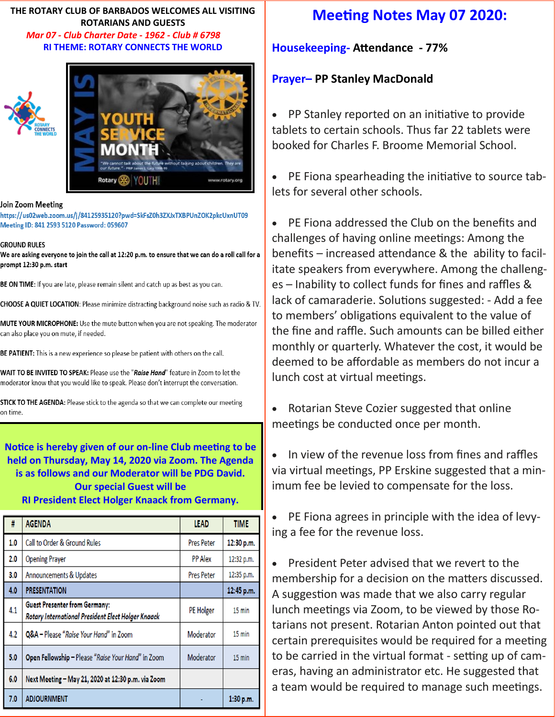**THE ROTARY CLUB OF BARBADOS WELCOMES ALL VISITING ROTARIANS AND GUESTS**  *Mar 07 - Club Charter Date - 1962 - Club # 6798* **RI THEME: ROTARY CONNECTS THE WORLD** 



#### Join Zoom Meeting

https://us02web.zoom.us/j/84125935120?pwd=SkFsZ0h3ZXJxTXBPUnZOK2pkcUxnUT09 Meeting ID: 841 2593 5120 Password: 059607

#### **GROUND RULES**

We are asking everyone to join the call at 12:20 p.m. to ensure that we can do a roll call for a prompt 12:30 p.m. start

BE ON TIME: If you are late, please remain silent and catch up as best as you can.

CHOOSE A QUIET LOCATION: Please minimize distracting background noise such as radio & TV.

MUTE YOUR MICROPHONE: Use the mute button when you are not speaking. The moderator can also place you on mute, if needed.

BE PATIENT: This is a new experience so please be patient with others on the call.

WAIT TO BE INVITED TO SPEAK: Please use the "Raise Hand" feature in Zoom to let the moderator know that you would like to speak. Please don't interrupt the conversation.

STICK TO THE AGENDA: Please stick to the agenda so that we can complete our meeting on time.

# **Notice is hereby given of our on-line Club meeting to be held on Thursday, May 14, 2020 via Zoom. The Agenda is as follows and our Moderator will be PDG David. Our special Guest will be**

#### **RI President Elect Holger Knaack from Germany.**

| #   | <b>AGENDA</b>                                                                              | <b>LEAD</b>       | <b>TIME</b>      |
|-----|--------------------------------------------------------------------------------------------|-------------------|------------------|
| 1.0 | Call to Order & Ground Rules                                                               | <b>Pres Peter</b> | 12:30 p.m.       |
| 2.0 | <b>Opening Prayer</b>                                                                      | <b>PP Alex</b>    | 12:32 p.m.       |
| 3.0 | Announcements & Updates                                                                    | <b>Pres Peter</b> | 12:35 p.m.       |
| 4.0 | <b>PRESENTATION</b>                                                                        |                   | 12:45 p.m.       |
| 4.1 | <b>Guest Presenter from Germany:</b><br>Rotary International President Elect Holger Knaack | PE Holger         | 15 min           |
| 4.2 | Q&A - Please "Raise Your Hand" in Zoom                                                     | Moderator         | 15 min           |
| 5.0 | Open Fellowship - Please "Raise Your Hand" in Zoom                                         | Moderator         | $15 \text{ min}$ |
| 6.0 | Next Meeting - May 21, 2020 at 12:30 p.m. via Zoom                                         |                   |                  |
| 7.0 | <b>ADJOURNMENT</b>                                                                         |                   | 1:30 p.m.        |

# **Meeting Notes May 07 2020:**

**Housekeeping- Attendance - 77%**

### **Prayer– PP Stanley MacDonald**

• PP Stanley reported on an initiative to provide tablets to certain schools. Thus far 22 tablets were booked for Charles F. Broome Memorial School.

• PE Fiona spearheading the initiative to source tablets for several other schools.

• PE Fiona addressed the Club on the benefits and challenges of having online meetings: Among the benefits – increased attendance & the ability to facilitate speakers from everywhere. Among the challenges – Inability to collect funds for fines and raffles & lack of camaraderie. Solutions suggested: - Add a fee to members' obligations equivalent to the value of the fine and raffle. Such amounts can be billed either monthly or quarterly. Whatever the cost, it would be deemed to be affordable as members do not incur a lunch cost at virtual meetings.

• Rotarian Steve Cozier suggested that online meetings be conducted once per month.

• In view of the revenue loss from fines and raffles via virtual meetings, PP Erskine suggested that a minimum fee be levied to compensate for the loss.

• PE Fiona agrees in principle with the idea of levying a fee for the revenue loss.

• President Peter advised that we revert to the membership for a decision on the matters discussed. A suggestion was made that we also carry regular lunch meetings via Zoom, to be viewed by those Rotarians not present. Rotarian Anton pointed out that certain prerequisites would be required for a meeting to be carried in the virtual format - setting up of cameras, having an administrator etc. He suggested that a team would be required to manage such meetings.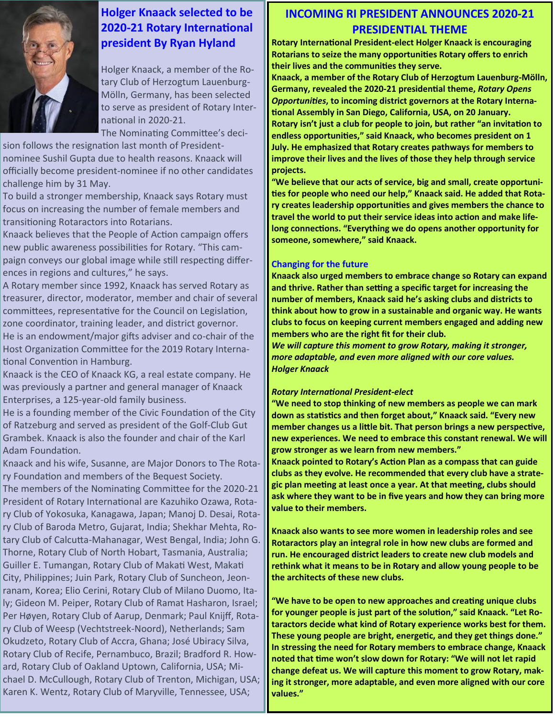

# **Holger Knaack selected to be 2020-21 Rotary International president By Ryan Hyland**

Holger Knaack, a member of the Rotary Club of Herzogtum Lauenburg-Mölln, Germany, has been selected to serve as president of Rotary International in 2020-21.

The Nominating Committee's deci-

sion follows the resignation last month of Presidentnominee Sushil Gupta due to health reasons. Knaack will officially become president-nominee if no other candidates challenge him by 31 May.

To build a stronger membership, Knaack says Rotary must focus on increasing the number of female members and transitioning Rotaractors into Rotarians.

Knaack believes that the People of Action campaign offers new public awareness possibilities for Rotary. "This campaign conveys our global image while still respecting differences in regions and cultures," he says.

A Rotary member since 1992, Knaack has served Rotary as treasurer, director, moderator, member and chair of several committees, representative for the Council on Legislation, zone coordinator, training leader, and district governor. He is an endowment/major gifts adviser and co-chair of the Host Organization Committee for the 2019 Rotary International Convention in Hamburg.

Knaack is the CEO of Knaack KG, a real estate company. He was previously a partner and general manager of Knaack Enterprises, a 125-year-old family business.

He is a founding member of the Civic Foundation of the City of Ratzeburg and served as president of the Golf-Club Gut Grambek. Knaack is also the founder and chair of the Karl Adam Foundation.

Knaack and his wife, Susanne, are Major Donors to The Rotary Foundation and members of the Bequest Society.

The members of the Nominating Committee for the 2020-21 President of Rotary International are Kazuhiko Ozawa, Rotary Club of Yokosuka, Kanagawa, Japan; Manoj D. Desai, Rotary Club of Baroda Metro, Gujarat, India; Shekhar Mehta, Rotary Club of Calcutta-Mahanagar, West Bengal, India; John G. Thorne, Rotary Club of North Hobart, Tasmania, Australia; Guiller E. Tumangan, Rotary Club of Makati West, Makati City, Philippines; Juin Park, Rotary Club of Suncheon, Jeonranam, Korea; Elio Cerini, Rotary Club of Milano Duomo, Italy; Gideon M. Peiper, Rotary Club of Ramat Hasharon, Israel; Per Høyen, Rotary Club of Aarup, Denmark; Paul Knijff, Rotary Club of Weesp (Vechtstreek-Noord), Netherlands; Sam Okudzeto, Rotary Club of Accra, Ghana; José Ubiracy Silva, Rotary Club of Recife, Pernambuco, Brazil; Bradford R. Howard, Rotary Club of Oakland Uptown, California, USA; Michael D. McCullough, Rotary Club of Trenton, Michigan, USA; Karen K. Wentz, Rotary Club of Maryville, Tennessee, USA;

# **INCOMING RI PRESIDENT ANNOUNCES 2020-21 PRESIDENTIAL THEME**

**Rotary International President-elect Holger Knaack is encouraging Rotarians to seize the many opportunities Rotary offers to enrich their lives and the communities they serve.**

**Knaack, a member of the Rotary Club of Herzogtum Lauenburg-Mölln, Germany, revealed the 2020-21 presidential theme,** *Rotary Opens Opportunities***, to incoming district governors at the Rotary International Assembly in San Diego, California, USA, on 20 January. Rotary isn't just a club for people to join, but rather "an invitation to endless opportunities," said Knaack, who becomes president on 1 July. He emphasized that Rotary creates pathways for members to improve their lives and the lives of those they help through service projects.**

**"We believe that our acts of service, big and small, create opportunities for people who need our help," Knaack said. He added that Rotary creates leadership opportunities and gives members the chance to travel the world to put their service ideas into action and make lifelong connections. "Everything we do opens another opportunity for someone, somewhere," said Knaack.**

#### **Changing for the future**

**Knaack also urged members to embrace change so Rotary can expand and thrive. Rather than setting a specific target for increasing the number of members, Knaack said he's asking clubs and districts to think about how to grow in a sustainable and organic way. He wants clubs to focus on keeping current members engaged and adding new members who are the right fit for their club.**

*We will capture this moment to grow Rotary, making it stronger, more adaptable, and even more aligned with our core values. Holger Knaack*

#### *Rotary International President-elect*

**"We need to stop thinking of new members as people we can mark down as statistics and then forget about," Knaack said. "Every new member changes us a little bit. That person brings a new perspective, new experiences. We need to embrace this constant renewal. We will grow stronger as we learn from new members."**

**Knaack pointed to Rotary's Action Plan as a compass that can guide clubs as they evolve. He recommended that every club have a strategic plan meeting at least once a year. At that meeting, clubs should ask where they want to be in five years and how they can bring more value to their members.**

**Knaack also wants to see more women in leadership roles and see Rotaractors play an integral role in how new clubs are formed and run. He encouraged district leaders to create new club models and rethink what it means to be in Rotary and allow young people to be the architects of these new clubs.**

**"We have to be open to new approaches and creating unique clubs for younger people is just part of the solution," said Knaack. "Let Rotaractors decide what kind of Rotary experience works best for them. These young people are bright, energetic, and they get things done." In stressing the need for Rotary members to embrace change, Knaack noted that time won't slow down for Rotary: "We will not let rapid change defeat us. We will capture this moment to grow Rotary, making it stronger, more adaptable, and even more aligned with our core values."**